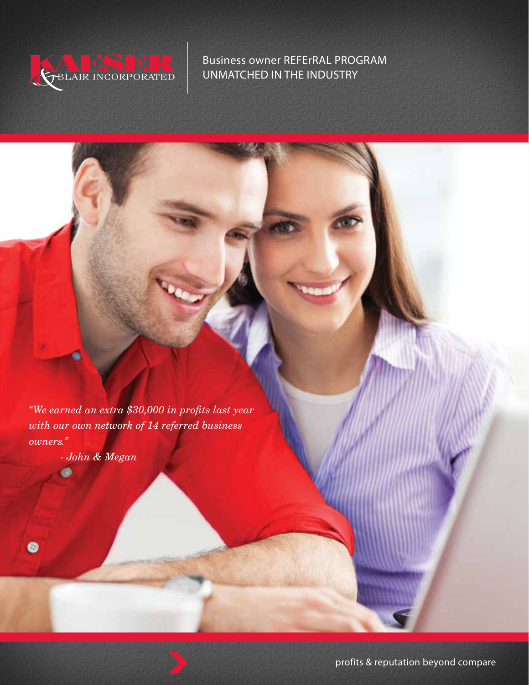

Business owner REFErRAL PROGRAM UNMATCHED IN THE INDUSTRY

*"We earned an extra \$30,000 in profits last year with our own network of 14 referred business owners."*

*- John & Megan*

 $\bullet$ 

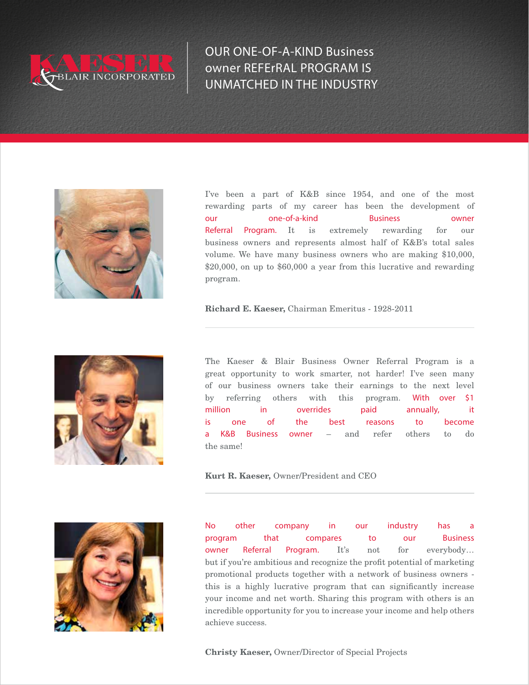

OUR ONE-OF-A-KIND Business owner REFErRAL PROGRAM IS UNMATCHED IN THE INDUSTRY



I've been a part of K&B since 1954, and one of the most rewarding parts of my career has been the development of our one-of-a-kind Business owner Referral Program. It is extremely rewarding for our business owners and represents almost half of K&B's total sales volume. We have many business owners who are making \$10,000, \$20,000, on up to \$60,000 a year from this lucrative and rewarding program.

Richard E. Kaeser, Chairman Emeritus - 1928-2011



The Kaeser & Blair Business Owner Referral Program is a great opportunity to work smarter, not harder! I've seen many of our business owners take their earnings to the next level by referring others with this program. With over \$1 million in overrides paid annually, it is one of the best reasons to become a K&B Business owner – and refer others to do the same!

Kurt R. Kaeser, Owner/President and CEO



No other company in our industry has a program that compares to our Business owner Referral Program. It's not for everybody… but if you're ambitious and recognize the profit potential of marketing promotional products together with a network of business owners this is a highly lucrative program that can significantly increase your income and net worth. Sharing this program with others is an incredible opportunity for you to increase your income and help others achieve success.

Christy Kaeser, Owner/Director of Special Projects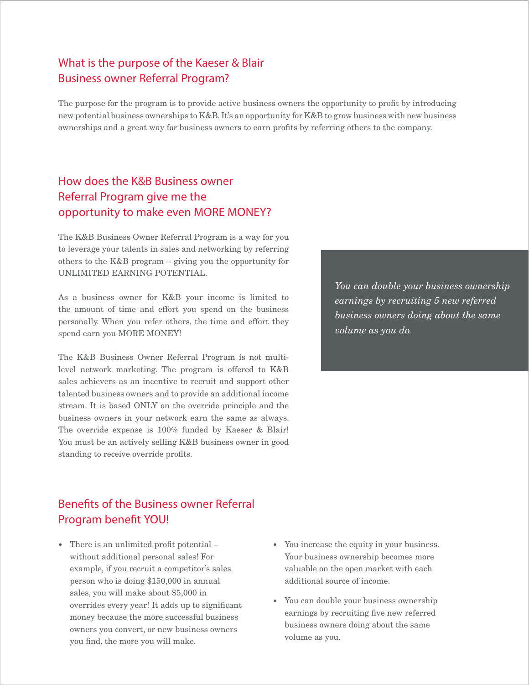# What is the purpose of the Kaeser & Blair Business owner Referral Program?

The purpose for the program is to provide active business owners the opportunity to profit by introducing new potential business ownerships to K&B. It's an opportunity for K&B to grow business with new business ownerships and a great way for business owners to earn profits by referring others to the company.

# How does the K&B Business owner Referral Program give me the opportunity to make even MORE MONEY?

The K&B Business Owner Referral Program is a way for you to leverage your talents in sales and networking by referring others to the K&B program – giving you the opportunity for UNLIMITED EARNING POTENTIAL.

As a business owner for K&B your income is limited to the amount of time and effort you spend on the business personally. When you refer others, the time and effort they spend earn you MORE MONEY!

The K&B Business Owner Referral Program is not multilevel network marketing. The program is offered to K&B sales achievers as an incentive to recruit and support other talented business owners and to provide an additional income stream. It is based ONLY on the override principle and the business owners in your network earn the same as always. The override expense is 100% funded by Kaeser & Blair! You must be an actively selling K&B business owner in good standing to receive override profits.

Benefits of the Business owner Referral Program benefit YOU!

- *•* There is an unlimited profit potential without additional personal sales! For example, if you recruit a competitor's sales person who is doing \$150,000 in annual sales, you will make about \$5,000 in overrides every year! It adds up to significant money because the more successful business owners you convert, or new business owners you find, the more you will make.
- *•* You increase the equity in your business. Your business ownership becomes more valuable on the open market with each additional source of income.
- *•* You can double your business ownership earnings by recruiting five new referred business owners doing about the same volume as you.

*You can double your business ownership earnings by recruiting 5 new referred business owners doing about the same volume as you do.*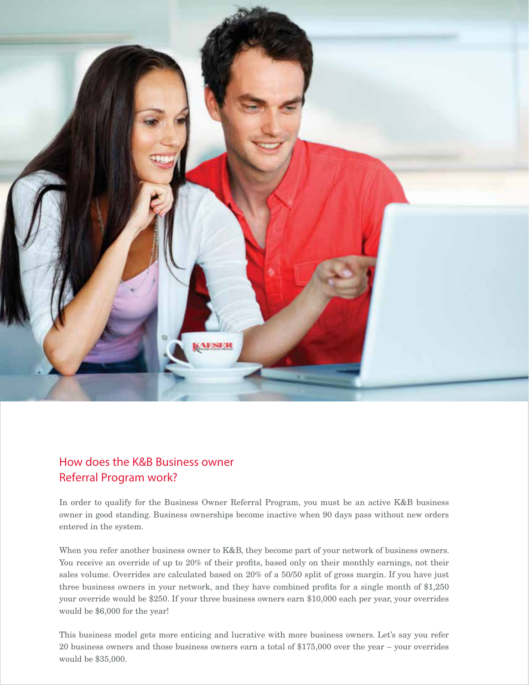

# How does the K&B Business owner Referral Program work?

In order to qualify for the Business Owner Referral Program, you must be an active K&B business owner in good standing. Business ownerships become inactive when 90 days pass without new orders entered in the system.

When you refer another business owner to K&B, they become part of your network of business owners. You receive an override of up to 20% of their profits, based only on their monthly earnings, not their sales volume. Overrides are calculated based on 20% of a 50/50 split of gross margin. If you have just three business owners in your network, and they have combined profits for a single month of \$1,250 your override would be \$250. If your three business owners earn \$10,000 each per year, your overrides would be \$6,000 for the year!

This business model gets more enticing and lucrative with more business owners. Let's say you refer 20 business owners and those business owners earn a total of \$175,000 over the year – your overrides would be \$35,000.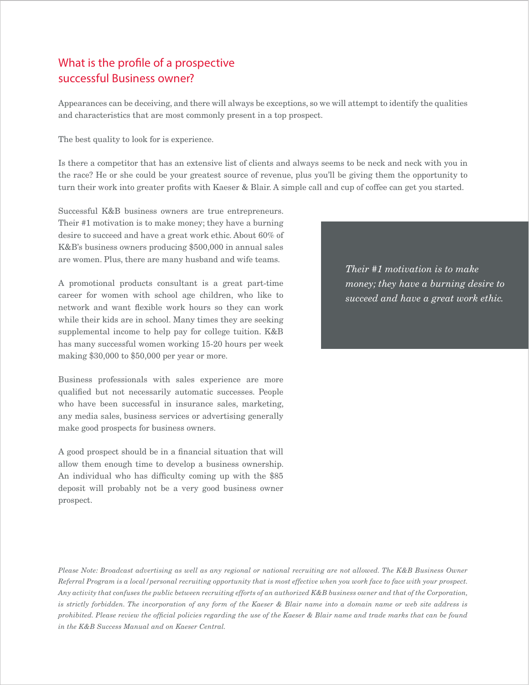# What is the profile of a prospective successful Business owner?

Appearances can be deceiving, and there will always be exceptions, so we will attempt to identify the qualities and characteristics that are most commonly present in a top prospect.

The best quality to look for is experience.

Is there a competitor that has an extensive list of clients and always seems to be neck and neck with you in the race? He or she could be your greatest source of revenue, plus you'll be giving them the opportunity to turn their work into greater profits with Kaeser & Blair. A simple call and cup of coffee can get you started.

Successful K&B business owners are true entrepreneurs. Their #1 motivation is to make money; they have a burning desire to succeed and have a great work ethic. About 60% of K&B's business owners producing \$500,000 in annual sales are women. Plus, there are many husband and wife teams.

A promotional products consultant is a great part-time career for women with school age children, who like to network and want flexible work hours so they can work while their kids are in school. Many times they are seeking supplemental income to help pay for college tuition. K&B has many successful women working 15-20 hours per week making \$30,000 to \$50,000 per year or more.

Business professionals with sales experience are more qualified but not necessarily automatic successes. People who have been successful in insurance sales, marketing, any media sales, business services or advertising generally make good prospects for business owners.

A good prospect should be in a financial situation that will allow them enough time to develop a business ownership. An individual who has difficulty coming up with the \$85 deposit will probably not be a very good business owner prospect.

*Their #1 motivation is to make money; they have a burning desire to succeed and have a great work ethic.* 

*Please Note: Broadcast advertising as well as any regional or national recruiting are not allowed. The K&B Business Owner Referral Program is a local/personal recruiting opportunity that is most effective when you work face to face with your prospect. Any activity that confuses the public between recruiting efforts of an authorized K&B business owner and that of the Corporation, is strictly forbidden. The incorporation of any form of the Kaeser & Blair name into a domain name or web site address is prohibited. Please review the official policies regarding the use of the Kaeser & Blair name and trade marks that can be found in the K&B Success Manual and on Kaeser Central.*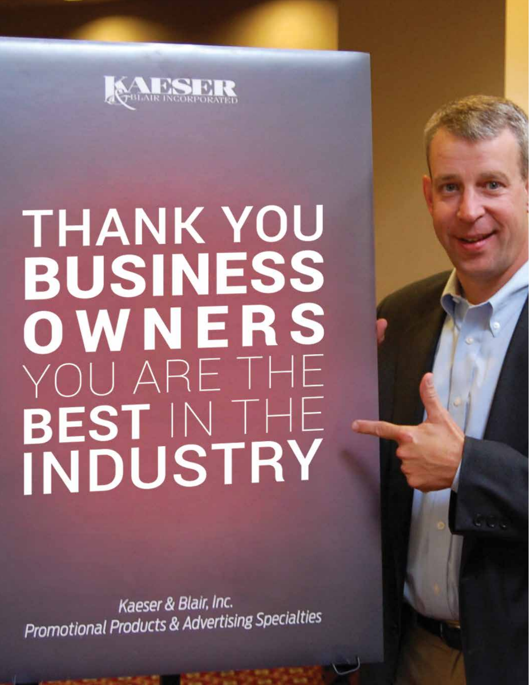

# THANK YOU **BUSINESS** OWNERS YOU ARE THE BEST IN THE

Kaeser & Blair, Inc. Promotional Products & Advertising Specialties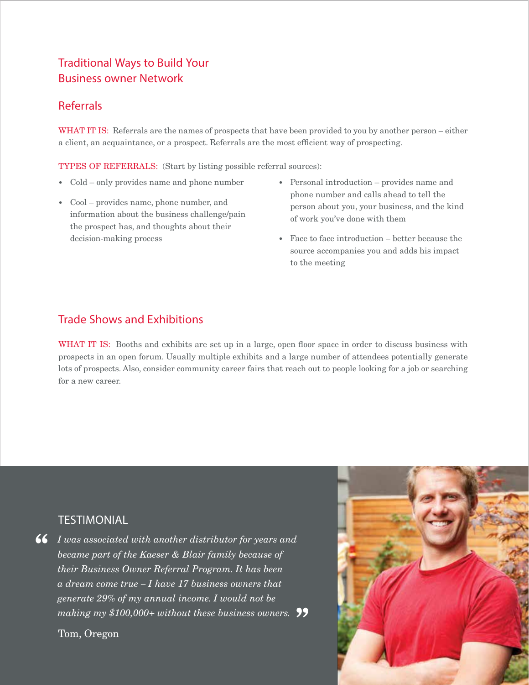# Traditional Ways to Build Your Business owner Network

# Referrals

WHAT IT IS: Referrals are the names of prospects that have been provided to you by another person – either a client, an acquaintance, or a prospect. Referrals are the most efficient way of prospecting.

TYPES OF REFERRALS: (Start by listing possible referral sources):

- *•* Cold only provides name and phone number
- *•* Cool provides name, phone number, and information about the business challenge/pain the prospect has, and thoughts about their decision-making process
- *•* Personal introduction provides name and phone number and calls ahead to tell the person about you, your business, and the kind of work you've done with them
- **Face to face introduction better because the** source accompanies you and adds his impact to the meeting

# Trade Shows and Exhibitions

WHAT IT IS: Booths and exhibits are set up in a large, open floor space in order to discuss business with prospects in an open forum. Usually multiple exhibits and a large number of attendees potentially generate lots of prospects. Also, consider community career fairs that reach out to people looking for a job or searching for a new career.

# **TESTIMONIAL**

**66** I was associated with another distributor for years and became part of the Kaeser & Blair family because of *became part of the Kaeser & Blair family because of their Business Owner Referral Program. It has been a dream come true – I have 17 business owners that generate 29% of my annual income. I would not be making my \$100,000+ without these business owners.* "

Tom, Oregon

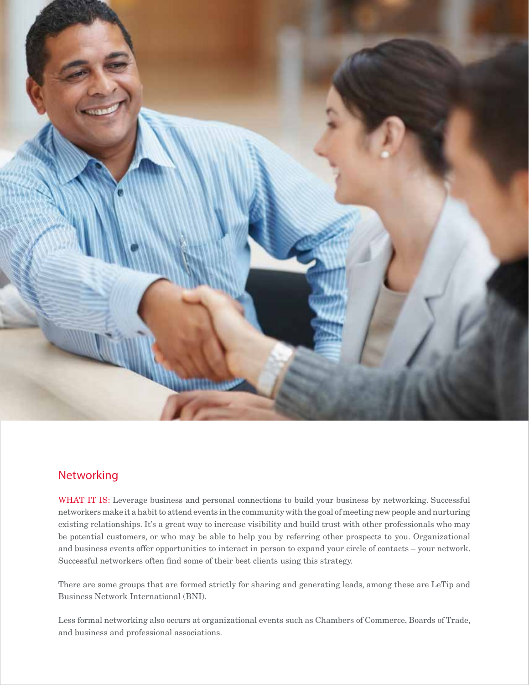

# Networking

WHAT IT IS: Leverage business and personal connections to build your business by networking. Successful networkers make it a habit to attend events in the community with the goal of meeting new people and nurturing existing relationships. It's a great way to increase visibility and build trust with other professionals who may be potential customers, or who may be able to help you by referring other prospects to you. Organizational and business events offer opportunities to interact in person to expand your circle of contacts – your network. Successful networkers often find some of their best clients using this strategy.

There are some groups that are formed strictly for sharing and generating leads, among these are LeTip and Business Network International (BNI).

Less formal networking also occurs at organizational events such as Chambers of Commerce, Boards of Trade, and business and professional associations.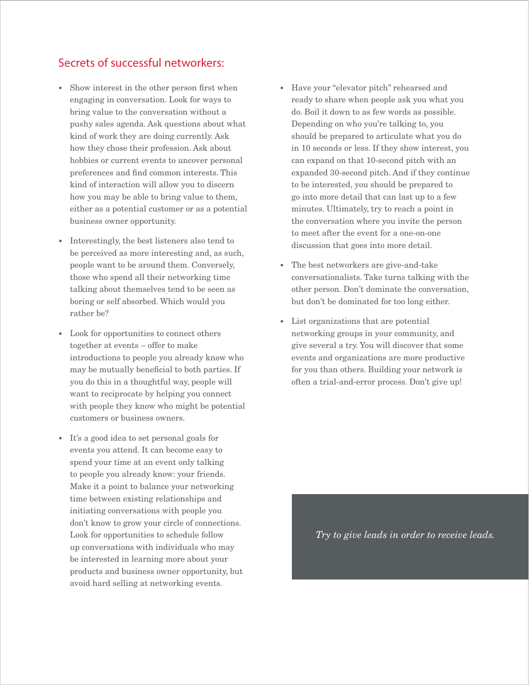# Secrets of successful networkers:

- *•* Show interest in the other person first when engaging in conversation. Look for ways to bring value to the conversation without a pushy sales agenda. Ask questions about what kind of work they are doing currently. Ask how they chose their profession. Ask about hobbies or current events to uncover personal preferences and find common interests. This kind of interaction will allow you to discern how you may be able to bring value to them, either as a potential customer or as a potential business owner opportunity.
- Interestingly, the best listeners also tend to be perceived as more interesting and, as such, people want to be around them. Conversely, those who spend all their networking time talking about themselves tend to be seen as boring or self absorbed. Which would you rather be?
- *•* Look for opportunities to connect others together at events – offer to make introductions to people you already know who may be mutually beneficial to both parties. If you do this in a thoughtful way, people will want to reciprocate by helping you connect with people they know who might be potential customers or business owners.
- *•* It's a good idea to set personal goals for events you attend. It can become easy to spend your time at an event only talking to people you already know: your friends. Make it a point to balance your networking time between existing relationships and initiating conversations with people you don't know to grow your circle of connections. Look for opportunities to schedule follow up conversations with individuals who may be interested in learning more about your products and business owner opportunity, but avoid hard selling at networking events.
- *•* Have your "elevator pitch" rehearsed and ready to share when people ask you what you do. Boil it down to as few words as possible. Depending on who you're talking to, you should be prepared to articulate what you do in 10 seconds or less. If they show interest, you can expand on that 10-second pitch with an expanded 30-second pitch. And if they continue to be interested, you should be prepared to go into more detail that can last up to a few minutes. Ultimately, try to reach a point in the conversation where you invite the person to meet after the event for a one-on-one discussion that goes into more detail.
- *•* The best networkers are give-and-take conversationalists. Take turns talking with the other person. Don't dominate the conversation, but don't be dominated for too long either.
- *•* List organizations that are potential networking groups in your community, and give several a try. You will discover that some events and organizations are more productive for you than others. Building your network is often a trial-and-error process. Don't give up!

*Try to give leads in order to receive leads.*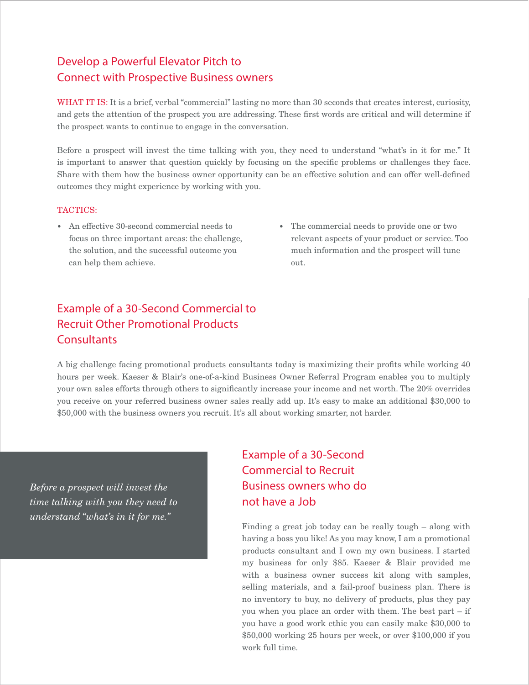# Develop a Powerful Elevator Pitch to Connect with Prospective Business owners

WHAT IT IS: It is a brief, verbal "commercial" lasting no more than 30 seconds that creates interest, curiosity, and gets the attention of the prospect you are addressing. These first words are critical and will determine if the prospect wants to continue to engage in the conversation.

Before a prospect will invest the time talking with you, they need to understand "what's in it for me." It is important to answer that question quickly by focusing on the specific problems or challenges they face. Share with them how the business owner opportunity can be an effective solution and can offer well-defined outcomes they might experience by working with you.

#### TACTICS:

- *•* An effective 30-second commercial needs to focus on three important areas: the challenge, the solution, and the successful outcome you can help them achieve.
- *•* The commercial needs to provide one or two relevant aspects of your product or service. Too much information and the prospect will tune out.

# Example of a 30-Second Commercial to Recruit Other Promotional Products **Consultants**

A big challenge facing promotional products consultants today is maximizing their profits while working 40 hours per week. Kaeser & Blair's one-of-a-kind Business Owner Referral Program enables you to multiply your own sales efforts through others to significantly increase your income and net worth. The 20% overrides you receive on your referred business owner sales really add up. It's easy to make an additional \$30,000 to \$50,000 with the business owners you recruit. It's all about working smarter, not harder.

*Before a prospect will invest the time talking with you they need to understand "what's in it for me."*

Example of a 30-Second Commercial to Recruit Business owners who do not have a Job

Finding a great job today can be really tough – along with having a boss you like! As you may know, I am a promotional products consultant and I own my own business. I started my business for only \$85. Kaeser & Blair provided me with a business owner success kit along with samples, selling materials, and a fail-proof business plan. There is no inventory to buy, no delivery of products, plus they pay you when you place an order with them. The best part – if you have a good work ethic you can easily make \$30,000 to \$50,000 working 25 hours per week, or over \$100,000 if you work full time.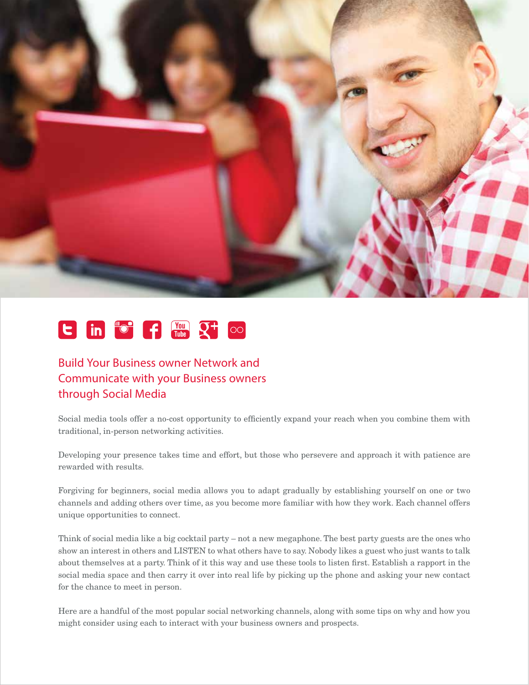

#### $\begin{array}{c} \hline \mathbf{C} \end{array}$  in  $\begin{array}{c} \hline \mathbf{C} \end{array}$  for  $\begin{array}{c} \hline \mathbf{C} \end{array}$  $\infty$

# Build Your Business owner Network and Communicate with your Business owners through Social Media

Social media tools offer a no-cost opportunity to efficiently expand your reach when you combine them with traditional, in-person networking activities.

Developing your presence takes time and effort, but those who persevere and approach it with patience are rewarded with results.

Forgiving for beginners, social media allows you to adapt gradually by establishing yourself on one or two channels and adding others over time, as you become more familiar with how they work. Each channel offers unique opportunities to connect.

Think of social media like a big cocktail party – not a new megaphone. The best party guests are the ones who show an interest in others and LISTEN to what others have to say. Nobody likes a guest who just wants to talk about themselves at a party. Think of it this way and use these tools to listen first. Establish a rapport in the social media space and then carry it over into real life by picking up the phone and asking your new contact for the chance to meet in person.

Here are a handful of the most popular social networking channels, along with some tips on why and how you might consider using each to interact with your business owners and prospects.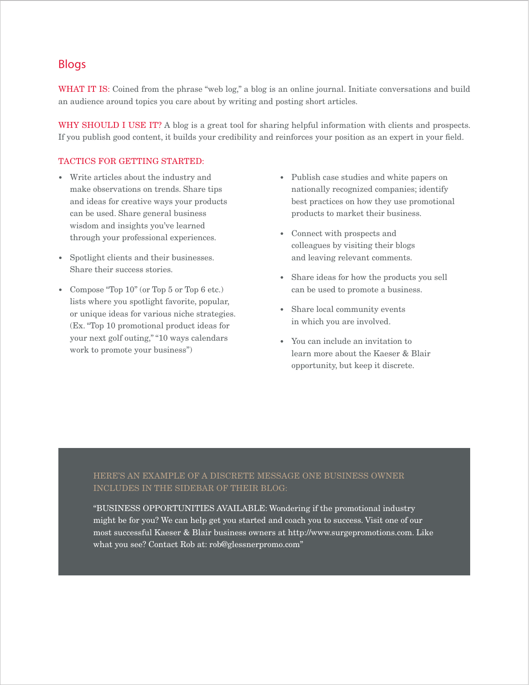## Blogs

WHAT IT IS: Coined from the phrase "web log," a blog is an online journal. Initiate conversations and build an audience around topics you care about by writing and posting short articles.

WHY SHOULD I USE IT? A blog is a great tool for sharing helpful information with clients and prospects. If you publish good content, it builds your credibility and reinforces your position as an expert in your field.

#### TACTICS FOR GETTING STARTED:

- *•* Write articles about the industry and make observations on trends. Share tips and ideas for creative ways your products can be used. Share general business wisdom and insights you've learned through your professional experiences.
- *•* Spotlight clients and their businesses. Share their success stories.
- *•* Compose "Top 10" (or Top 5 or Top 6 etc.) lists where you spotlight favorite, popular, or unique ideas for various niche strategies. (Ex. "Top 10 promotional product ideas for your next golf outing," "10 ways calendars work to promote your business")
- *•* Publish case studies and white papers on nationally recognized companies; identify best practices on how they use promotional products to market their business.
- *•* Connect with prospects and colleagues by visiting their blogs and leaving relevant comments.
- *•* Share ideas for how the products you sell can be used to promote a business.
- *•* Share local community events in which you are involved.
- *•* You can include an invitation to learn more about the Kaeser & Blair opportunity, but keep it discrete.

#### HERE'S AN EXAMPLE OF A DISCRETE MESSAGE ONE BUSINESS OWNER INCLUDES IN THE SIDEBAR OF THEIR BLOG:

"BUSINESS OPPORTUNITIES AVAILABLE: Wondering if the promotional industry might be for you? We can help get you started and coach you to success. Visit one of our most successful Kaeser & Blair business owners at http://www.surgepromotions.com. Like what you see? Contact Rob at: rob@glessnerpromo.com"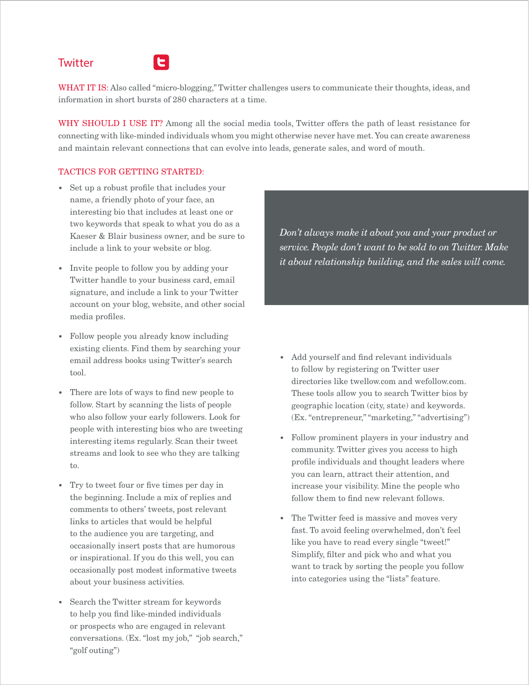# **Twitter**



WHAT IT IS: Also called "micro-blogging," Twitter challenges users to communicate their thoughts, ideas, and information in short bursts of 280 characters at a time.

WHY SHOULD I USE IT? Among all the social media tools, Twitter offers the path of least resistance for connecting with like-minded individuals whom you might otherwise never have met. You can create awareness and maintain relevant connections that can evolve into leads, generate sales, and word of mouth.

#### TACTICS FOR GETTING STARTED:

- *•* Set up a robust profile that includes your name, a friendly photo of your face, an interesting bio that includes at least one or two keywords that speak to what you do as a Kaeser & Blair business owner, and be sure to include a link to your website or blog.
- *•* Invite people to follow you by adding your Twitter handle to your business card, email signature, and include a link to your Twitter account on your blog, website, and other social media profiles.
- *•* Follow people you already know including existing clients. Find them by searching your email address books using Twitter's search tool.
- *•* There are lots of ways to find new people to follow. Start by scanning the lists of people who also follow your early followers. Look for people with interesting bios who are tweeting interesting items regularly. Scan their tweet streams and look to see who they are talking to.
- *•* Try to tweet four or five times per day in the beginning. Include a mix of replies and comments to others' tweets, post relevant links to articles that would be helpful to the audience you are targeting, and occasionally insert posts that are humorous or inspirational. If you do this well, you can occasionally post modest informative tweets about your business activities.
- *•* Search the Twitter stream for keywords to help you find like-minded individuals or prospects who are engaged in relevant conversations. (Ex. "lost my job," "job search," "golf outing")

*Don't always make it about you and your product or service. People don't want to be sold to on Twitter. Make it about relationship building, and the sales will come.*

- *•* Add yourself and find relevant individuals to follow by registering on Twitter user directories like twellow.com and wefollow.com. These tools allow you to search Twitter bios by geographic location (city, state) and keywords. (Ex. "entrepreneur," "marketing," "advertising")
- *•* Follow prominent players in your industry and community. Twitter gives you access to high profile individuals and thought leaders where you can learn, attract their attention, and increase your visibility. Mine the people who follow them to find new relevant follows.
- *•* The Twitter feed is massive and moves very fast. To avoid feeling overwhelmed, don't feel like you have to read every single "tweet!" Simplify, filter and pick who and what you want to track by sorting the people you follow into categories using the "lists" feature.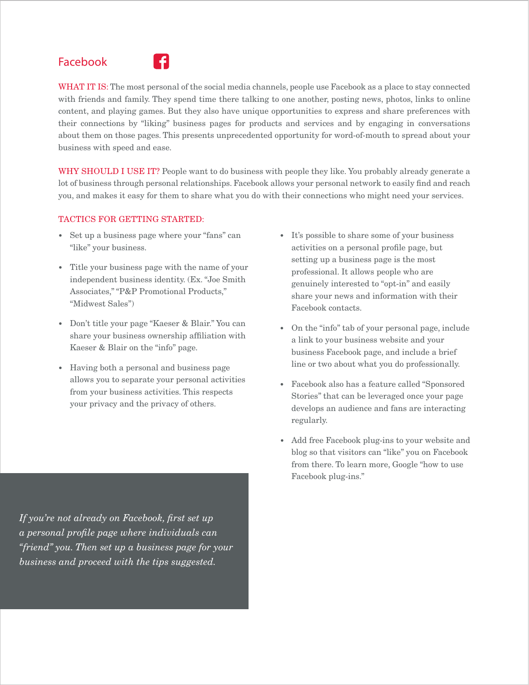# Facebook



WHAT IT IS: The most personal of the social media channels, people use Facebook as a place to stay connected with friends and family. They spend time there talking to one another, posting news, photos, links to online content, and playing games. But they also have unique opportunities to express and share preferences with their connections by "liking" business pages for products and services and by engaging in conversations about them on those pages. This presents unprecedented opportunity for word-of-mouth to spread about your business with speed and ease.

WHY SHOULD I USE IT? People want to do business with people they like. You probably already generate a lot of business through personal relationships. Facebook allows your personal network to easily find and reach you, and makes it easy for them to share what you do with their connections who might need your services.

#### TACTICS FOR GETTING STARTED:

- *•* Set up a business page where your "fans" can "like" your business.
- *•* Title your business page with the name of your independent business identity. (Ex. "Joe Smith Associates," "P&P Promotional Products," "Midwest Sales")
- *•* Don't title your page "Kaeser & Blair." You can share your business ownership affiliation with Kaeser & Blair on the "info" page.
- *•* Having both a personal and business page allows you to separate your personal activities from your business activities. This respects your privacy and the privacy of others.

*If you're not already on Facebook, first set up a personal profile page where individuals can "friend" you. Then set up a business page for your business and proceed with the tips suggested.*

- *•* It's possible to share some of your business activities on a personal profile page, but setting up a business page is the most professional. It allows people who are genuinely interested to "opt-in" and easily share your news and information with their Facebook contacts.
- *•* On the "info" tab of your personal page, include a link to your business website and your business Facebook page, and include a brief line or two about what you do professionally.
- *•* Facebook also has a feature called "Sponsored Stories" that can be leveraged once your page develops an audience and fans are interacting regularly.
- *•* Add free Facebook plug-ins to your website and blog so that visitors can "like" you on Facebook from there. To learn more, Google "how to use Facebook plug-ins."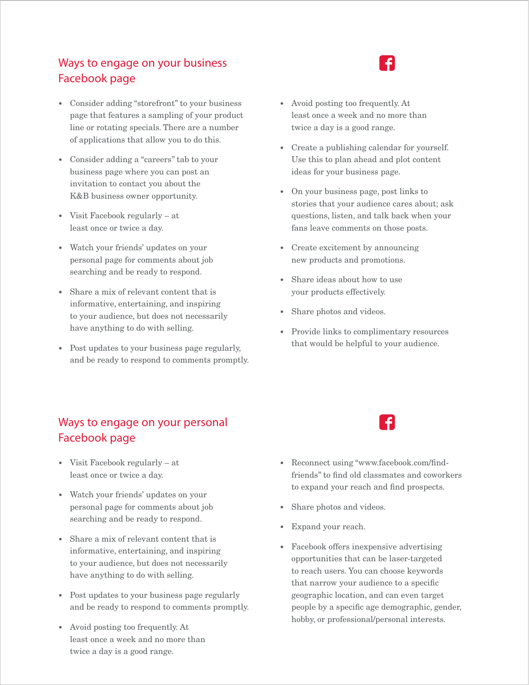# Ways to engage on your business Facebook page

- *•* Consider adding "storefront" to your business page that features a sampling of your product line or rotating specials. There are a number of applications that allow you to do this.
- *•* Consider adding a "careers" tab to your business page where you can post an invitation to contact you about the K&B business owner opportunity.
- *•* Visit Facebook regularly at least once or twice a day.
- *•* Watch your friends' updates on your personal page for comments about job searching and be ready to respond.
- *•* Share a mix of relevant content that is informative, entertaining, and inspiring to your audience, but does not necessarily have anything to do with selling.
- *•* Post updates to your business page regularly, and be ready to respond to comments promptly.

# Ways to engage on your personal Facebook page

- *•* Visit Facebook regularly at least once or twice a day.
- *•* Watch your friends' updates on your personal page for comments about job searching and be ready to respond.
- *•* Share a mix of relevant content that is informative, entertaining, and inspiring to your audience, but does not necessarily have anything to do with selling.
- *•* Post updates to your business page regularly and be ready to respond to comments promptly.
- *•* Avoid posting too frequently. At least once a week and no more than twice a day is a good range.
- *•* Avoid posting too frequently. At least once a week and no more than twice a day is a good range.
- *•* Create a publishing calendar for yourself. Use this to plan ahead and plot content ideas for your business page.
- *•* On your business page, post links to stories that your audience cares about; ask questions, listen, and talk back when your fans leave comments on those posts.
- *•* Create excitement by announcing new products and promotions.
- *•* Share ideas about how to use your products effectively.
- *•* Share photos and videos.
- *•* Provide links to complimentary resources that would be helpful to your audience.



- *•* Reconnect using "www.facebook.com/findfriends" to find old classmates and coworkers to expand your reach and find prospects.
- Share photos and videos.
- *•* Expand your reach.
- *•* Facebook offers inexpensive advertising opportunities that can be laser-targeted to reach users. You can choose keywords that narrow your audience to a specific geographic location, and can even target people by a specific age demographic, gender, hobby, or professional/personal interests.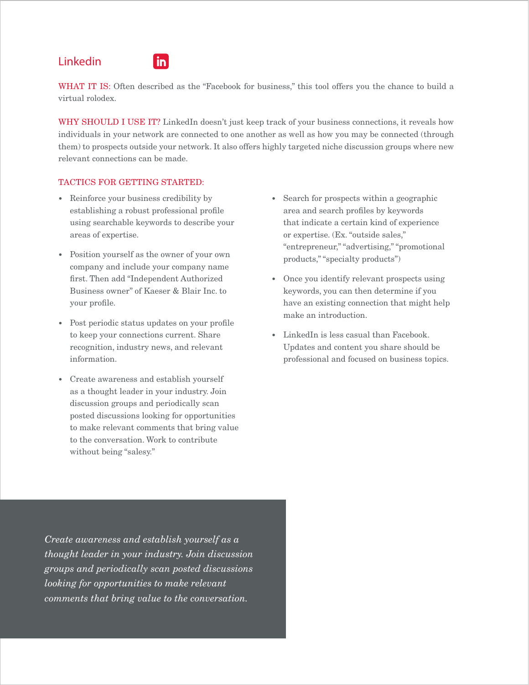# Linkedin



WHAT IT IS: Often described as the "Facebook for business," this tool offers you the chance to build a virtual rolodex.

WHY SHOULD I USE IT? LinkedIn doesn't just keep track of your business connections, it reveals how individuals in your network are connected to one another as well as how you may be connected (through them) to prospects outside your network. It also offers highly targeted niche discussion groups where new relevant connections can be made.

#### TACTICS FOR GETTING STARTED:

- *•* Reinforce your business credibility by establishing a robust professional profile using searchable keywords to describe your areas of expertise.
- *•* Position yourself as the owner of your own company and include your company name first. Then add "Independent Authorized Business owner" of Kaeser & Blair Inc. to your profile.
- *•* Post periodic status updates on your profile to keep your connections current. Share recognition, industry news, and relevant information.
- *•* Create awareness and establish yourself as a thought leader in your industry. Join discussion groups and periodically scan posted discussions looking for opportunities to make relevant comments that bring value to the conversation. Work to contribute without being "salesy."
- *•* Search for prospects within a geographic area and search profiles by keywords that indicate a certain kind of experience or expertise. (Ex. "outside sales," "entrepreneur," "advertising," "promotional products," "specialty products")
- *•* Once you identify relevant prospects using keywords, you can then determine if you have an existing connection that might help make an introduction.
- *•* LinkedIn is less casual than Facebook. Updates and content you share should be professional and focused on business topics.

*Create awareness and establish yourself as a thought leader in your industry. Join discussion groups and periodically scan posted discussions looking for opportunities to make relevant comments that bring value to the conversation.*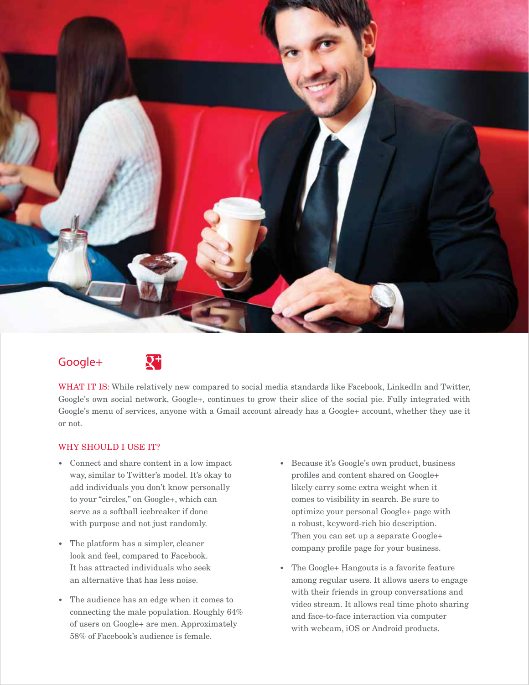

# Google+



WHAT IT IS: While relatively new compared to social media standards like Facebook, LinkedIn and Twitter, Google's own social network, Google+, continues to grow their slice of the social pie. Fully integrated with Google's menu of services, anyone with a Gmail account already has a Google+ account, whether they use it or not.

#### WHY SHOULD I USE IT?

- *•* Connect and share content in a low impact way, similar to Twitter's model. It's okay to add individuals you don't know personally to your "circles," on Google+, which can serve as a softball icebreaker if done with purpose and not just randomly.
- *•* The platform has a simpler, cleaner look and feel, compared to Facebook. It has attracted individuals who seek an alternative that has less noise.
- *•* The audience has an edge when it comes to connecting the male population. Roughly 64% of users on Google+ are men. Approximately 58% of Facebook's audience is female.
- *•* Because it's Google's own product, business profiles and content shared on Google+ likely carry some extra weight when it comes to visibility in search. Be sure to optimize your personal Google+ page with a robust, keyword-rich bio description. Then you can set up a separate Google+ company profile page for your business.
- *•* The Google+ Hangouts is a favorite feature among regular users. It allows users to engage with their friends in group conversations and video stream. It allows real time photo sharing and face-to-face interaction via computer with webcam, iOS or Android products.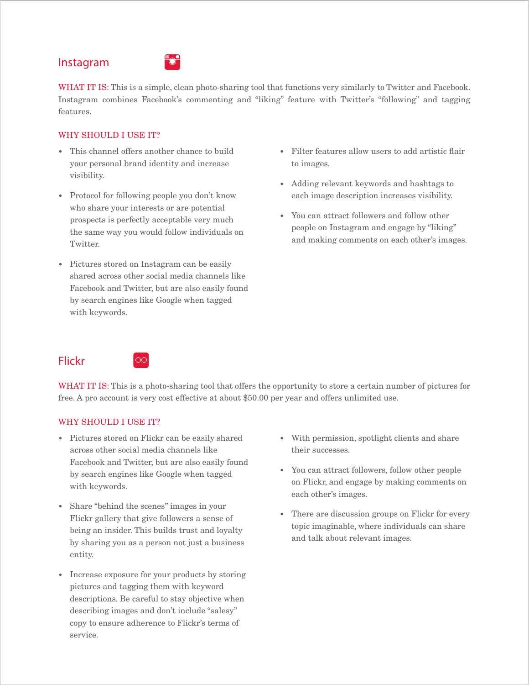## Instagram



WHAT IT IS: This is a simple, clean photo-sharing tool that functions very similarly to Twitter and Facebook. Instagram combines Facebook's commenting and "liking" feature with Twitter's "following" and tagging features.

#### WHY SHOULD I USE IT?

- *•* This channel offers another chance to build your personal brand identity and increase visibility.
- *•* Protocol for following people you don't know who share your interests or are potential prospects is perfectly acceptable very much the same way you would follow individuals on Twitter.
- *•* Pictures stored on Instagram can be easily shared across other social media channels like Facebook and Twitter, but are also easily found by search engines like Google when tagged with keywords.
- *•* Filter features allow users to add artistic flair to images.
- *•* Adding relevant keywords and hashtags to each image description increases visibility.
- *•* You can attract followers and follow other people on Instagram and engage by "liking" and making comments on each other's images.

## Flickr



WHAT IT IS: This is a photo-sharing tool that offers the opportunity to store a certain number of pictures for free. A pro account is very cost effective at about \$50.00 per year and offers unlimited use.

#### WHY SHOULD I USE IT?

- *•* Pictures stored on Flickr can be easily shared across other social media channels like Facebook and Twitter, but are also easily found by search engines like Google when tagged with keywords.
- Share "behind the scenes" images in your Flickr gallery that give followers a sense of being an insider. This builds trust and loyalty by sharing you as a person not just a business entity.
- *•* Increase exposure for your products by storing pictures and tagging them with keyword descriptions. Be careful to stay objective when describing images and don't include "salesy" copy to ensure adherence to Flickr's terms of service.
- *•* With permission, spotlight clients and share their successes.
- *•* You can attract followers, follow other people on Flickr, and engage by making comments on each other's images.
- *•* There are discussion groups on Flickr for every topic imaginable, where individuals can share and talk about relevant images.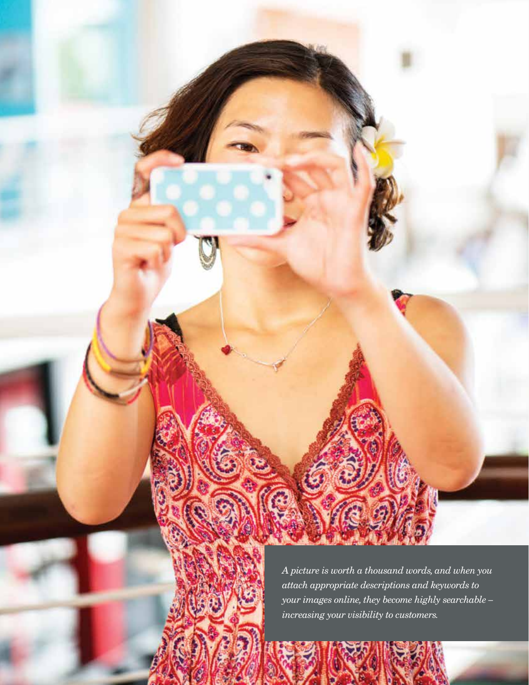

*A picture is worth a thousand words, and when you attach appropriate descriptions and keywords to your images online, they become highly searchable – increasing your visibility to customers.*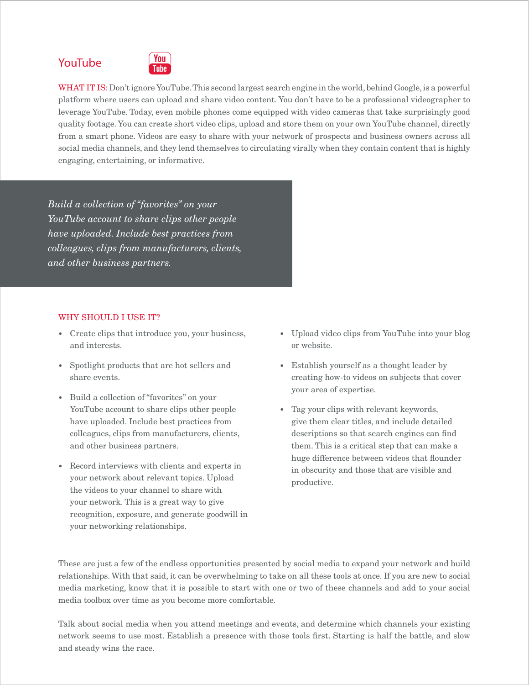# YouTube



WHAT IT IS: Don't ignore YouTube. This second largest search engine in the world, behind Google, is a powerful platform where users can upload and share video content. You don't have to be a professional videographer to leverage YouTube. Today, even mobile phones come equipped with video cameras that take surprisingly good quality footage. You can create short video clips, upload and store them on your own YouTube channel, directly from a smart phone. Videos are easy to share with your network of prospects and business owners across all social media channels, and they lend themselves to circulating virally when they contain content that is highly engaging, entertaining, or informative.

*Build a collection of "favorites" on your YouTube account to share clips other people have uploaded. Include best practices from colleagues, clips from manufacturers, clients, and other business partners.*

#### WHY SHOULD I USE IT?

- *•* Create clips that introduce you, your business, and interests.
- *•* Spotlight products that are hot sellers and share events.
- *•* Build a collection of "favorites" on your YouTube account to share clips other people have uploaded. Include best practices from colleagues, clips from manufacturers, clients, and other business partners.
- *•* Record interviews with clients and experts in your network about relevant topics. Upload the videos to your channel to share with your network. This is a great way to give recognition, exposure, and generate goodwill in your networking relationships.
- *•* Upload video clips from YouTube into your blog or website.
- *•* Establish yourself as a thought leader by creating how-to videos on subjects that cover your area of expertise.
- *•* Tag your clips with relevant keywords, give them clear titles, and include detailed descriptions so that search engines can find them. This is a critical step that can make a huge difference between videos that flounder in obscurity and those that are visible and productive.

These are just a few of the endless opportunities presented by social media to expand your network and build relationships. With that said, it can be overwhelming to take on all these tools at once. If you are new to social media marketing, know that it is possible to start with one or two of these channels and add to your social media toolbox over time as you become more comfortable.

Talk about social media when you attend meetings and events, and determine which channels your existing network seems to use most. Establish a presence with those tools first. Starting is half the battle, and slow and steady wins the race.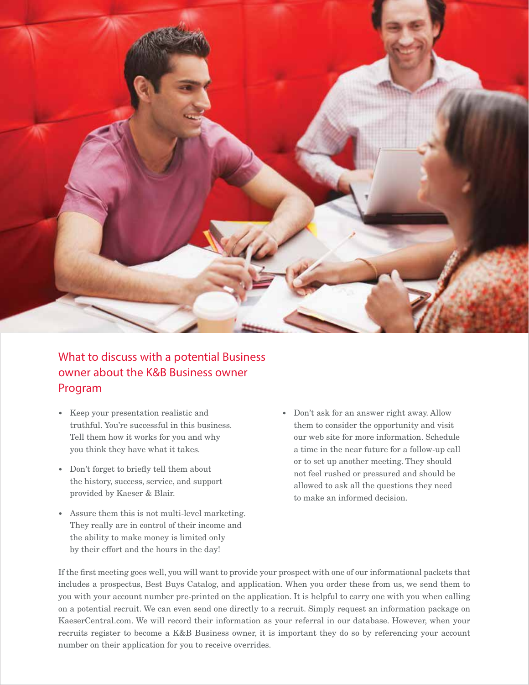

# What to discuss with a potential Business owner about the K&B Business owner Program

- *•* Keep your presentation realistic and truthful. You're successful in this business. Tell them how it works for you and why you think they have what it takes.
- *•* Don't forget to briefly tell them about the history, success, service, and support provided by Kaeser & Blair.
- *•* Assure them this is not multi-level marketing. They really are in control of their income and the ability to make money is limited only by their effort and the hours in the day!
- *•* Don't ask for an answer right away. Allow them to consider the opportunity and visit our web site for more information. Schedule a time in the near future for a follow-up call or to set up another meeting. They should not feel rushed or pressured and should be allowed to ask all the questions they need to make an informed decision.

If the first meeting goes well, you will want to provide your prospect with one of our informational packets that includes a prospectus, Best Buys Catalog, and application. When you order these from us, we send them to you with your account number pre-printed on the application. It is helpful to carry one with you when calling on a potential recruit. We can even send one directly to a recruit. Simply request an information package on KaeserCentral.com. We will record their information as your referral in our database. However, when your recruits register to become a K&B Business owner, it is important they do so by referencing your account number on their application for you to receive overrides.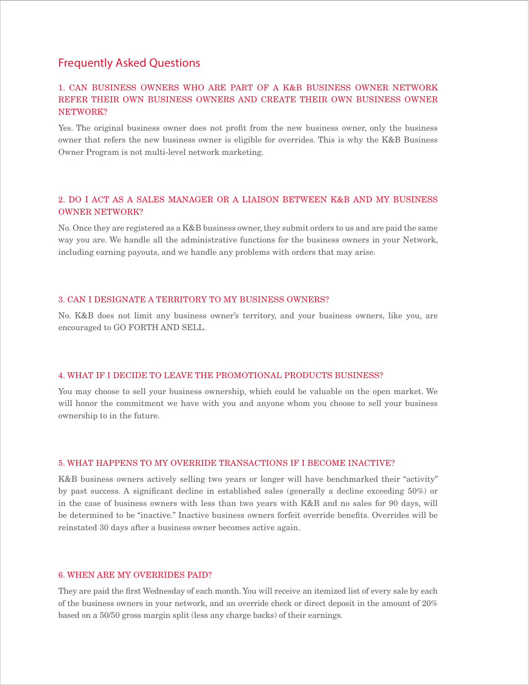#### Frequently Asked Questions

#### 1. CAN BUSINESS OWNERS WHO ARE PART OF A K&B BUSINESS OWNER NETWORK REFER THEIR OWN BUSINESS OWNERS AND CREATE THEIR OWN BUSINESS OWNER NETWORK?

Yes. The original business owner does not profit from the new business owner, only the business owner that refers the new business owner is eligible for overrides. This is why the K&B Business Owner Program is not multi-level network marketing.

#### 2. DO I ACT AS A SALES MANAGER OR A LIAISON BETWEEN K&B AND MY BUSINESS OWNER NETWORK?

No. Once they are registered as a K&B business owner, they submit orders to us and are paid the same way you are. We handle all the administrative functions for the business owners in your Network, including earning payouts, and we handle any problems with orders that may arise.

#### 3. CAN I DESIGNATE A TERRITORY TO MY BUSINESS OWNERS?

No. K&B does not limit any business owner's territory, and your business owners, like you, are encouraged to GO FORTH AND SELL.

#### 4. WHAT IF I DECIDE TO LEAVE THE PROMOTIONAL PRODUCTS BUSINESS?

You may choose to sell your business ownership, which could be valuable on the open market. We will honor the commitment we have with you and anyone whom you choose to sell your business ownership to in the future.

#### 5. WHAT HAPPENS TO MY OVERRIDE TRANSACTIONS IF I BECOME INACTIVE?

K&B business owners actively selling two years or longer will have benchmarked their "activity" by past success. A significant decline in established sales (generally a decline exceeding 50%) or in the case of business owners with less than two years with K&B and no sales for 90 days, will be determined to be "inactive." Inactive business owners forfeit override benefits. Overrides will be reinstated 30 days after a business owner becomes active again.

#### 6. WHEN ARE MY OVERRIDES PAID?

They are paid the first Wednesday of each month. You will receive an itemized list of every sale by each of the business owners in your network, and an override check or direct deposit in the amount of 20% based on a 50/50 gross margin split (less any charge backs) of their earnings.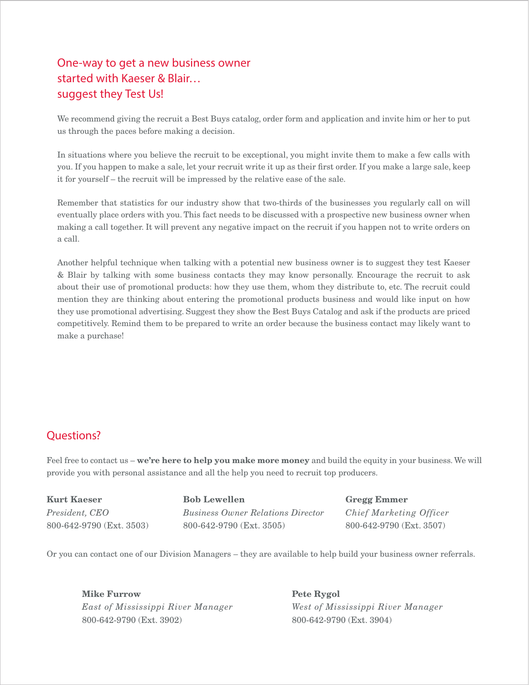# One-way to get a new business owner started with Kaeser & Blair… suggest they Test Us!

We recommend giving the recruit a Best Buys catalog, order form and application and invite him or her to put us through the paces before making a decision.

In situations where you believe the recruit to be exceptional, you might invite them to make a few calls with you. If you happen to make a sale, let your recruit write it up as their first order. If you make a large sale, keep it for yourself – the recruit will be impressed by the relative ease of the sale.

Remember that statistics for our industry show that two-thirds of the businesses you regularly call on will eventually place orders with you. This fact needs to be discussed with a prospective new business owner when making a call together. It will prevent any negative impact on the recruit if you happen not to write orders on a call.

Another helpful technique when talking with a potential new business owner is to suggest they test Kaeser & Blair by talking with some business contacts they may know personally. Encourage the recruit to ask about their use of promotional products: how they use them, whom they distribute to, etc. The recruit could mention they are thinking about entering the promotional products business and would like input on how they use promotional advertising. Suggest they show the Best Buys Catalog and ask if the products are priced competitively. Remind them to be prepared to write an order because the business contact may likely want to make a purchase!

# Questions?

Feel free to contact us – we're here to help you make more money and build the equity in your business. We will provide you with personal assistance and all the help you need to recruit top producers.

Kurt Kaeser *President, CEO* 800-642-9790 (Ext. 3503) Bob Lewellen *Business Owner Relations Director* 800-642-9790 (Ext. 3505)

Gregg Emmer *Chief Marketing Officer* 800-642-9790 (Ext. 3507)

Or you can contact one of our Division Managers – they are available to help build your business owner referrals.

Mike Furrow *East of Mississippi River Manager* 800-642-9790 (Ext. 3902)

Pete Rygol *West of Mississippi River Manager* 800-642-9790 (Ext. 3904)